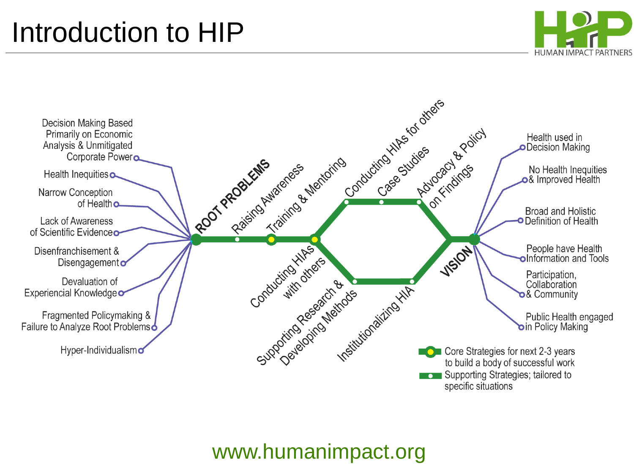### Introduction to HIP





#### www.humanimpact.org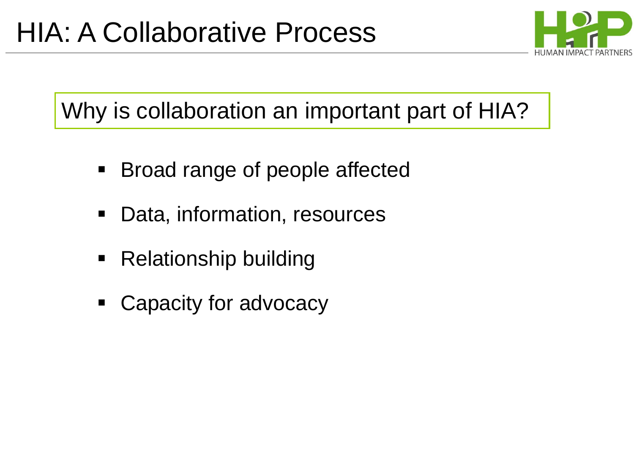

### Why is collaboration an important part of HIA?

- Broad range of people affected
- Data, information, resources
- Relationship building
- Capacity for advocacy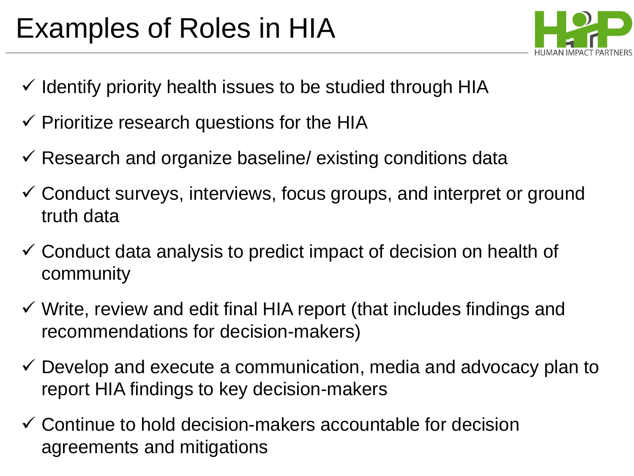## Examples of Roles in HIA



- $\checkmark$  Identify priority health issues to be studied through HIA
- $\checkmark$  Prioritize research questions for the HIA
- $\checkmark$  Research and organize baseline/ existing conditions data
- Conduct surveys, interviews, focus groups, and interpret or ground truth data
- Conduct data analysis to predict impact of decision on health of community
- $\checkmark$  Write, review and edit final HIA report (that includes findings and recommendations for decision-makers)
- $\checkmark$  Develop and execute a communication, media and advocacy plan to report HIA findings to key decision-makers
- $\checkmark$  Continue to hold decision-makers accountable for decision agreements and mitigations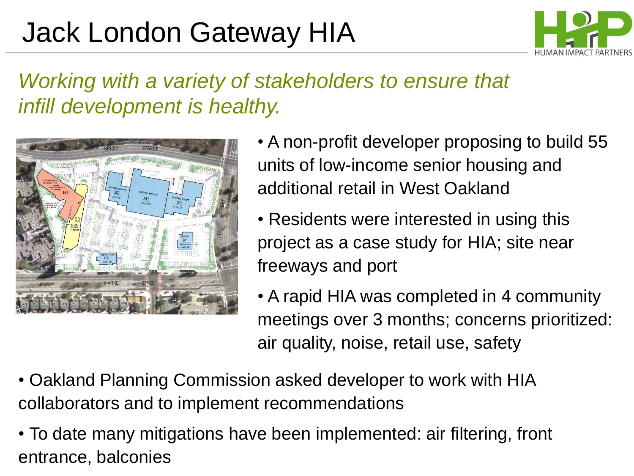# Jack London Gateway HIA



#### *Working with a variety of stakeholders to ensure that infill development is healthy.*



- A non-profit developer proposing to build 55 units of low-income senior housing and additional retail in West Oakland
- Residents were interested in using this project as a case study for HIA; site near freeways and port
- A rapid HIA was completed in 4 community meetings over 3 months; concerns prioritized: air quality, noise, retail use, safety
- Oakland Planning Commission asked developer to work with HIA collaborators and to implement recommendations
- To date many mitigations have been implemented: air filtering, front entrance, balconies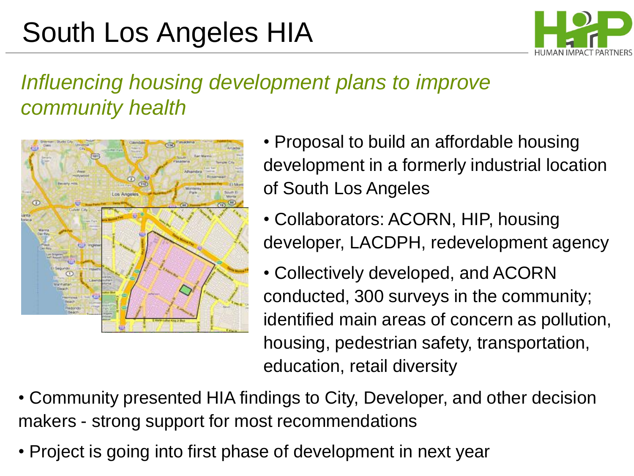# South Los Angeles HIA



#### *Influencing housing development plans to improve community health*



- Proposal to build an affordable housing development in a formerly industrial location of South Los Angeles
- Collaborators: ACORN, HIP, housing developer, LACDPH, redevelopment agency
- Collectively developed, and ACORN conducted, 300 surveys in the community; identified main areas of concern as pollution, housing, pedestrian safety, transportation, education, retail diversity
- Community presented HIA findings to City, Developer, and other decision makers - strong support for most recommendations
- Project is going into first phase of development in next year